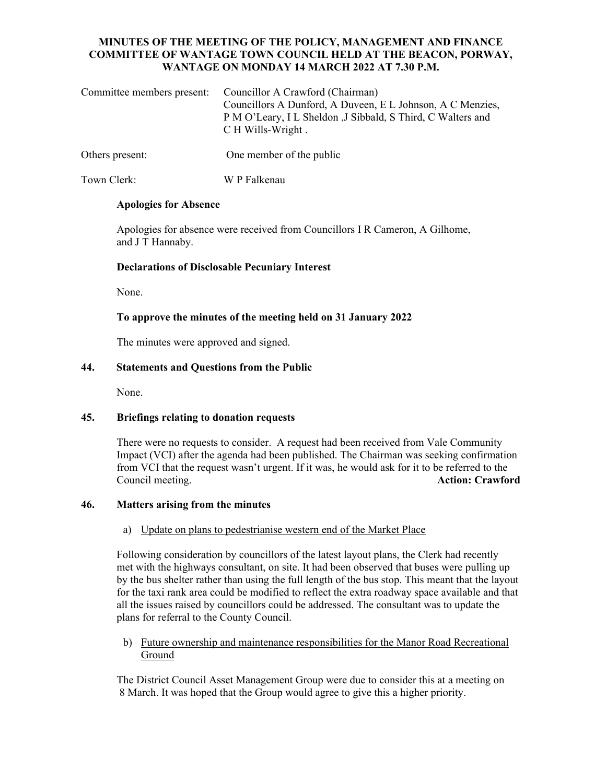# **MINUTES OF THE MEETING OF THE POLICY, MANAGEMENT AND FINANCE COMMITTEE OF WANTAGE TOWN COUNCIL HELD AT THE BEACON, PORWAY, WANTAGE ON MONDAY 14 MARCH 2022 AT 7.30 P.M.**

| Committee members present: Councillor A Crawford (Chairman)<br>Councillors A Dunford, A Duveen, E L Johnson, A C Menzies,<br>P M O'Leary, I L Sheldon , J Sibbald, S Third, C Walters and<br>C H Wills-Wright. |
|----------------------------------------------------------------------------------------------------------------------------------------------------------------------------------------------------------------|
|                                                                                                                                                                                                                |

Others present: One member of the public

Town Clerk: W P Falkenau

#### **Apologies for Absence**

Apologies for absence were received from Councillors I R Cameron, A Gilhome, and J T Hannaby.

# **Declarations of Disclosable Pecuniary Interest**

None.

### **To approve the minutes of the meeting held on 31 January 2022**

The minutes were approved and signed.

# **44. Statements and Questions from the Public**

None.

# **45. Briefings relating to donation requests**

There were no requests to consider. A request had been received from Vale Community Impact (VCI) after the agenda had been published. The Chairman was seeking confirmation from VCI that the request wasn't urgent. If it was, he would ask for it to be referred to the Council meeting. **Action: Crawford** 

# **46. Matters arising from the minutes**

#### a) Update on plans to pedestrianise western end of the Market Place

 Following consideration by councillors of the latest layout plans, the Clerk had recently met with the highways consultant, on site. It had been observed that buses were pulling up by the bus shelter rather than using the full length of the bus stop. This meant that the layout for the taxi rank area could be modified to reflect the extra roadway space available and that all the issues raised by councillors could be addressed. The consultant was to update the plans for referral to the County Council.

b) Future ownership and maintenance responsibilities for the Manor Road Recreational Ground

 The District Council Asset Management Group were due to consider this at a meeting on 8 March. It was hoped that the Group would agree to give this a higher priority.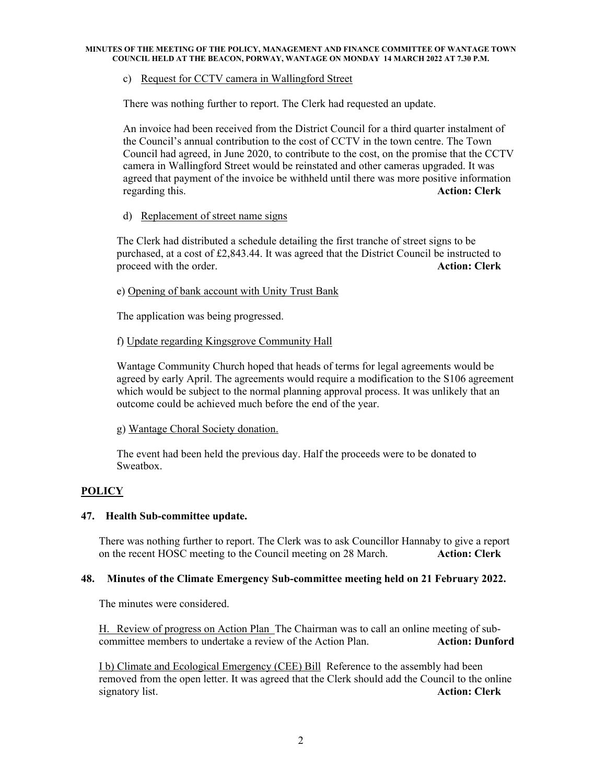# c) Request for CCTV camera in Wallingford Street

There was nothing further to report. The Clerk had requested an update.

An invoice had been received from the District Council for a third quarter instalment of the Council's annual contribution to the cost of CCTV in the town centre. The Town Council had agreed, in June 2020, to contribute to the cost, on the promise that the CCTV camera in Wallingford Street would be reinstated and other cameras upgraded. It was agreed that payment of the invoice be withheld until there was more positive information regarding this. **Action: Clerk** 

# d) Replacement of street name signs

 The Clerk had distributed a schedule detailing the first tranche of street signs to be purchased, at a cost of £2,843.44. It was agreed that the District Council be instructed to proceed with the order. **Action: Clerk** 

#### e) Opening of bank account with Unity Trust Bank

The application was being progressed.

#### f) Update regarding Kingsgrove Community Hall

Wantage Community Church hoped that heads of terms for legal agreements would be agreed by early April. The agreements would require a modification to the S106 agreement which would be subject to the normal planning approval process. It was unlikely that an outcome could be achieved much before the end of the year.

#### g) Wantage Choral Society donation.

The event had been held the previous day. Half the proceeds were to be donated to Sweatbox.

# **POLICY**

#### **47. Health Sub-committee update.**

 There was nothing further to report. The Clerk was to ask Councillor Hannaby to give a report on the recent HOSC meeting to the Council meeting on 28 March. **Action: Clerk** 

#### **48. Minutes of the Climate Emergency Sub-committee meeting held on 21 February 2022.**

The minutes were considered.

 H. Review of progress on Action Plan The Chairman was to call an online meeting of subcommittee members to undertake a review of the Action Plan. **Action: Dunford**

 I b) Climate and Ecological Emergency (CEE) Bill Reference to the assembly had been removed from the open letter. It was agreed that the Clerk should add the Council to the online signatory list. **Action: Clerk**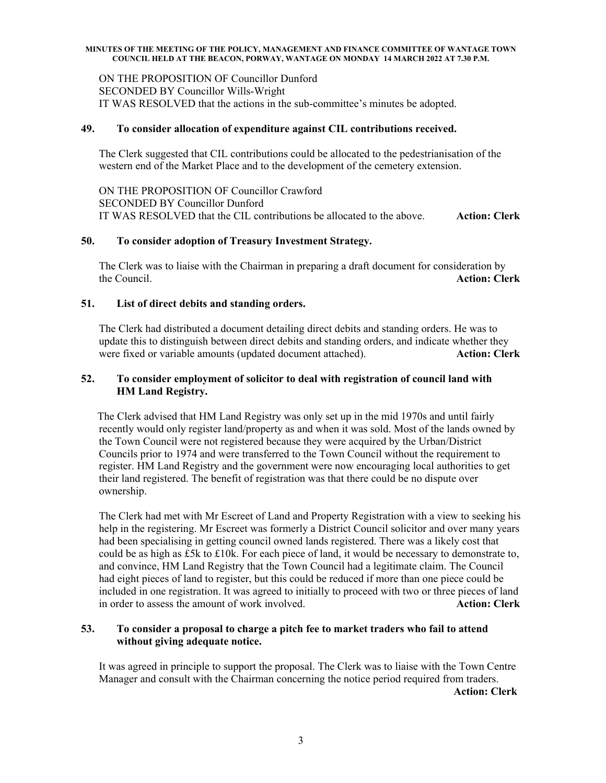#### **MINUTES OF THE MEETING OF THE POLICY, MANAGEMENT AND FINANCE COMMITTEE OF WANTAGE TOWN COUNCIL HELD AT THE BEACON, PORWAY, WANTAGE ON MONDAY 14 MARCH 2022 AT 7.30 P.M.**

ON THE PROPOSITION OF Councillor Dunford SECONDED BY Councillor Wills-Wright IT WAS RESOLVED that the actions in the sub-committee's minutes be adopted.

## **49. To consider allocation of expenditure against CIL contributions received.**

The Clerk suggested that CIL contributions could be allocated to the pedestrianisation of the western end of the Market Place and to the development of the cemetery extension.

ON THE PROPOSITION OF Councillor Crawford SECONDED BY Councillor Dunford IT WAS RESOLVED that the CIL contributions be allocated to the above. **Action: Clerk** 

#### **50. To consider adoption of Treasury Investment Strategy.**

The Clerk was to liaise with the Chairman in preparing a draft document for consideration by the Council. **Action: Clerk** 

# **51. List of direct debits and standing orders.**

 The Clerk had distributed a document detailing direct debits and standing orders. He was to update this to distinguish between direct debits and standing orders, and indicate whether they were fixed or variable amounts (updated document attached). **Action: Clerk Action: Clerk** 

# **52. To consider employment of solicitor to deal with registration of council land with HM Land Registry.**

The Clerk advised that HM Land Registry was only set up in the mid 1970s and until fairly recently would only register land/property as and when it was sold. Most of the lands owned by the Town Council were not registered because they were acquired by the Urban/District Councils prior to 1974 and were transferred to the Town Council without the requirement to register. HM Land Registry and the government were now encouraging local authorities to get their land registered. The benefit of registration was that there could be no dispute over ownership.

The Clerk had met with Mr Escreet of Land and Property Registration with a view to seeking his help in the registering. Mr Escreet was formerly a District Council solicitor and over many years had been specialising in getting council owned lands registered. There was a likely cost that could be as high as £5k to £10k. For each piece of land, it would be necessary to demonstrate to, and convince, HM Land Registry that the Town Council had a legitimate claim. The Council had eight pieces of land to register, but this could be reduced if more than one piece could be included in one registration. It was agreed to initially to proceed with two or three pieces of land in order to assess the amount of work involved. **Action: Clerk** 

# **53. To consider a proposal to charge a pitch fee to market traders who fail to attend without giving adequate notice.**

It was agreed in principle to support the proposal. The Clerk was to liaise with the Town Centre Manager and consult with the Chairman concerning the notice period required from traders.

**Action: Clerk**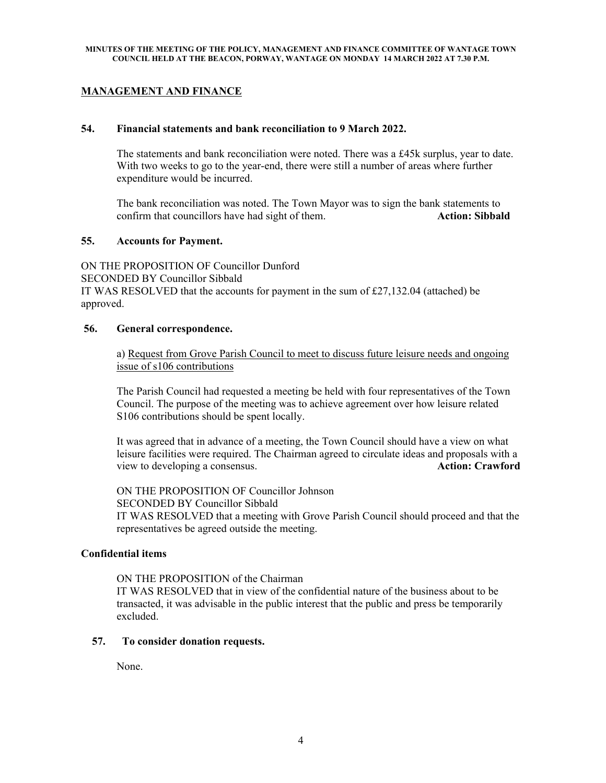# **MANAGEMENT AND FINANCE**

#### **54. Financial statements and bank reconciliation to 9 March 2022.**

The statements and bank reconciliation were noted. There was a  $£45k$  surplus, year to date. With two weeks to go to the year-end, there were still a number of areas where further expenditure would be incurred.

 The bank reconciliation was noted. The Town Mayor was to sign the bank statements to confirm that councillors have had sight of them. **Action: Sibbald** 

#### **55. Accounts for Payment.**

ON THE PROPOSITION OF Councillor Dunford SECONDED BY Councillor Sibbald IT WAS RESOLVED that the accounts for payment in the sum of  $\text{\pounds}27,132.04$  (attached) be approved.

#### **56. General correspondence.**

a) Request from Grove Parish Council to meet to discuss future leisure needs and ongoing issue of s106 contributions

 The Parish Council had requested a meeting be held with four representatives of the Town Council. The purpose of the meeting was to achieve agreement over how leisure related S106 contributions should be spent locally.

 It was agreed that in advance of a meeting, the Town Council should have a view on what leisure facilities were required. The Chairman agreed to circulate ideas and proposals with a view to developing a consensus. **Action: Crawford** 

ON THE PROPOSITION OF Councillor Johnson SECONDED BY Councillor Sibbald IT WAS RESOLVED that a meeting with Grove Parish Council should proceed and that the representatives be agreed outside the meeting.

#### **Confidential items**

ON THE PROPOSITION of the Chairman

IT WAS RESOLVED that in view of the confidential nature of the business about to be transacted, it was advisable in the public interest that the public and press be temporarily excluded.

# **57. To consider donation requests.**

None.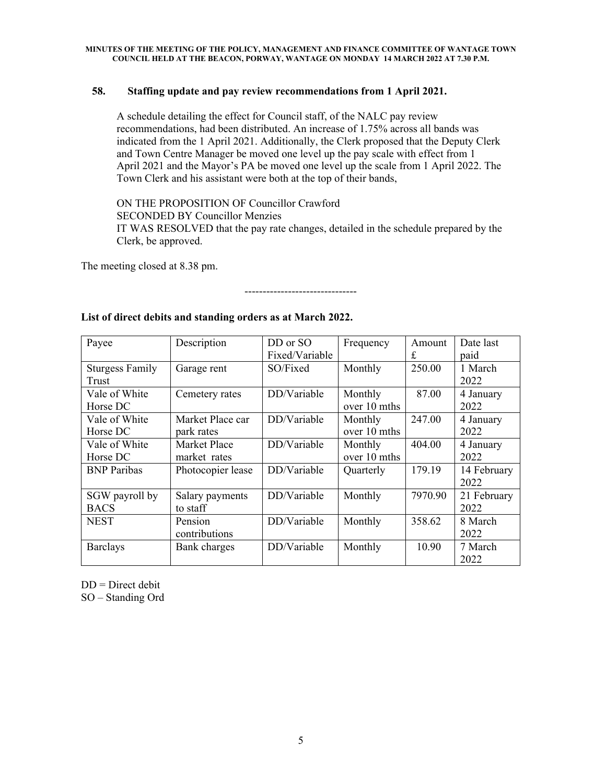# **58. Staffing update and pay review recommendations from 1 April 2021.**

A schedule detailing the effect for Council staff, of the NALC pay review recommendations, had been distributed. An increase of 1.75% across all bands was indicated from the 1 April 2021. Additionally, the Clerk proposed that the Deputy Clerk and Town Centre Manager be moved one level up the pay scale with effect from 1 April 2021 and the Mayor's PA be moved one level up the scale from 1 April 2022. The Town Clerk and his assistant were both at the top of their bands,

ON THE PROPOSITION OF Councillor Crawford

SECONDED BY Councillor Menzies

 IT WAS RESOLVED that the pay rate changes, detailed in the schedule prepared by the Clerk, be approved.

-------------------------------

The meeting closed at 8.38 pm.

| Payee                  | Description         | DD or SO       | Frequency    | Amount  | Date last   |
|------------------------|---------------------|----------------|--------------|---------|-------------|
|                        |                     | Fixed/Variable |              | £       | paid        |
| <b>Sturgess Family</b> | Garage rent         | SO/Fixed       | Monthly      | 250.00  | 1 March     |
| Trust                  |                     |                |              |         | 2022        |
| Vale of White          | Cemetery rates      | DD/Variable    | Monthly      | 87.00   | 4 January   |
| Horse DC               |                     |                | over 10 mths |         | 2022        |
| Vale of White          | Market Place car    | DD/Variable    | Monthly      | 247.00  | 4 January   |
| Horse DC               | park rates          |                | over 10 mths |         | 2022        |
| Vale of White          | <b>Market Place</b> | DD/Variable    | Monthly      | 404.00  | 4 January   |
| Horse DC               | market rates        |                | over 10 mths |         | 2022        |
| <b>BNP</b> Paribas     | Photocopier lease   | DD/Variable    | Quarterly    | 179.19  | 14 February |
|                        |                     |                |              |         | 2022        |
| SGW payroll by         | Salary payments     | DD/Variable    | Monthly      | 7970.90 | 21 February |
| <b>BACS</b>            | to staff            |                |              |         | 2022        |
| <b>NEST</b>            | Pension             | DD/Variable    | Monthly      | 358.62  | 8 March     |
|                        | contributions       |                |              |         | 2022        |
| <b>Barclays</b>        | Bank charges        | DD/Variable    | Monthly      | 10.90   | 7 March     |
|                        |                     |                |              |         | 2022        |

# **List of direct debits and standing orders as at March 2022.**

 $DD = Direct$  debit

SO – Standing Ord